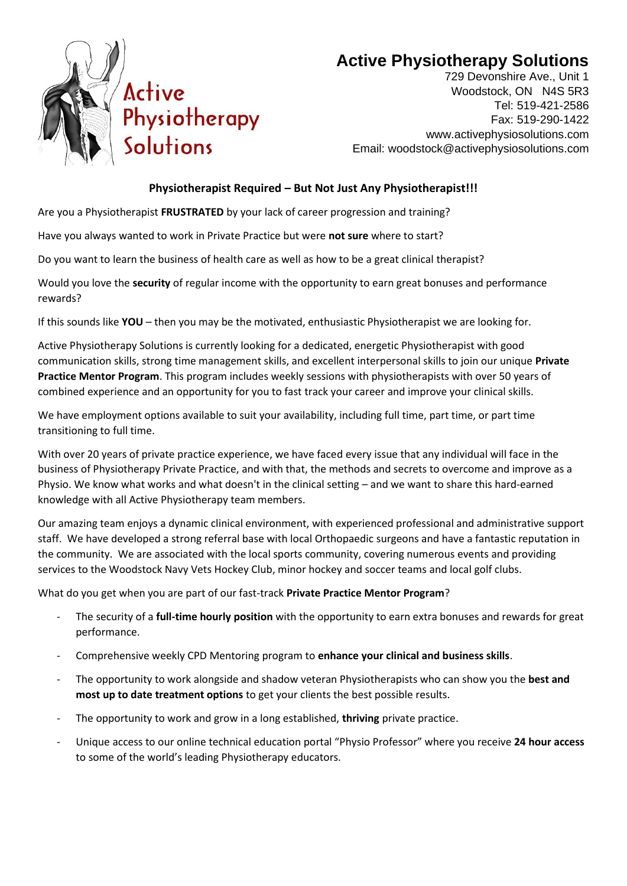

## **Active Physiotherapy Solutions**

729 Devonshire Ave., Unit 1 Woodstock, ON N4S 5R3 Tel: 519-421-2586 Fax: 519-290-1422 www.activephysiosolutions.com Email: woodstock@activephysiosolutions.com

## **Physiotherapist Required – But Not Just Any Physiotherapist!!!**

Are you a Physiotherapist **FRUSTRATED** by your lack of career progression and training?

Have you always wanted to work in Private Practice but were **not sure** where to start?

Do you want to learn the business of health care as well as how to be a great clinical therapist?

Would you love the **security** of regular income with the opportunity to earn great bonuses and performance rewards?

If this sounds like **YOU** – then you may be the motivated, enthusiastic Physiotherapist we are looking for.

Active Physiotherapy Solutions is currently looking for a dedicated, energetic Physiotherapist with good communication skills, strong time management skills, and excellent interpersonal skills to join our unique **Private Practice Mentor Program**. This program includes weekly sessions with physiotherapists with over 50 years of combined experience and an opportunity for you to fast track your career and improve your clinical skills.

We have employment options available to suit your availability, including full time, part time, or part time transitioning to full time.

With over 20 years of private practice experience, we have faced every issue that any individual will face in the business of Physiotherapy Private Practice, and with that, the methods and secrets to overcome and improve as a Physio. We know what works and what doesn't in the clinical setting – and we want to share this hard-earned knowledge with all Active Physiotherapy team members.

Our amazing team enjoys a dynamic clinical environment, with experienced professional and administrative support staff. We have developed a strong referral base with local Orthopaedic surgeons and have a fantastic reputation in the community. We are associated with the local sports community, covering numerous events and providing services to the Woodstock Navy Vets Hockey Club, minor hockey and soccer teams and local golf clubs.

What do you get when you are part of our fast-track **Private Practice Mentor Program**?

- The security of a **full-time hourly position** with the opportunity to earn extra bonuses and rewards for great performance.
- Comprehensive weekly CPD Mentoring program to **enhance your clinical and business skills**.
- The opportunity to work alongside and shadow veteran Physiotherapists who can show you the **best and most up to date treatment options** to get your clients the best possible results.
- The opportunity to work and grow in a long established, **thriving** private practice.
- Unique access to our online technical education portal "Physio Professor" where you receive **24 hour access** to some of the world's leading Physiotherapy educators.